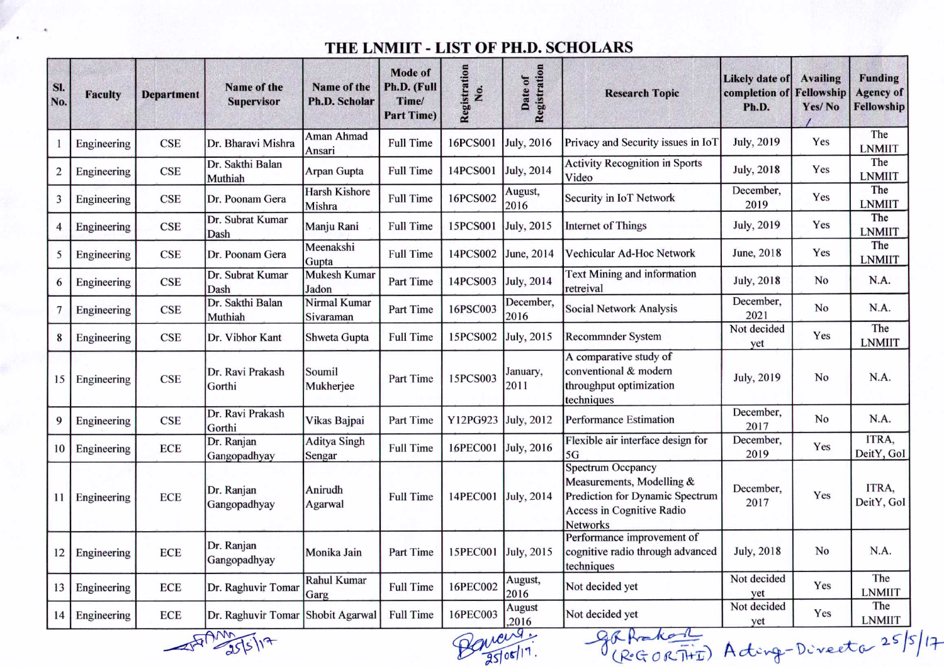## THE LNMllT - LIST OF PH.D. SCHOLARS

| <b>Faculty</b> | <b>Department</b> | Name of the<br><b>Supervisor</b> | Name of the<br><b>Ph.D. Scholar</b> | <b>Mode of</b><br>Ph.D. (Full<br>Time/<br><b>Part Time)</b> | Registration<br>Σó. | Registration<br>Date of  | <b>Research Topic</b>                                                                                        | <b>Likely date of</b><br>completion of<br>Ph.D.                                                        | <b>Availing</b><br>Yes/No                                                                    | <b>Funding</b><br><b>Agency of</b><br>Fellowship |
|----------------|-------------------|----------------------------------|-------------------------------------|-------------------------------------------------------------|---------------------|--------------------------|--------------------------------------------------------------------------------------------------------------|--------------------------------------------------------------------------------------------------------|----------------------------------------------------------------------------------------------|--------------------------------------------------|
| Engineering    | <b>CSE</b>        | Dr. Bharavi Mishra               | Aman Ahmad<br>Ansari                | <b>Full Time</b>                                            | 16PCS001            | July, 2016               | Privacy and Security issues in IoT                                                                           | <b>July</b> , 2019                                                                                     | Yes                                                                                          | The<br><b>LNMIIT</b>                             |
| Engineering    | CSE               | Dr. Sakthi Balan<br>Muthiah      | Arpan Gupta                         | <b>Full Time</b>                                            | 14PCS001            | July, 2014               | <b>Activity Recognition in Sports</b><br>Video                                                               | July, 2018                                                                                             | Yes                                                                                          | The<br><b>LNMIIT</b>                             |
| Engineering    | <b>CSE</b>        | Dr. Poonam Gera                  | <b>Harsh Kishore</b><br>Mishra      | <b>Full Time</b>                                            | 16PCS002            | August,<br>2016          | Security in IoT Network                                                                                      | December,<br>2019                                                                                      | Yes                                                                                          | The<br><b>LNMIIT</b>                             |
| Engineering    | <b>CSE</b>        | Dr. Subrat Kumar<br>Dash         | Manju Rani                          | <b>Full Time</b>                                            | 15PCS001            | <b>July</b> , 2015       | <b>Internet of Things</b>                                                                                    | <b>July</b> , 2019                                                                                     | Yes                                                                                          | The<br><b>LNMIIT</b>                             |
| Engineering    | <b>CSE</b>        | Dr. Poonam Gera                  | Gupta                               | <b>Full Time</b>                                            | 14PCS002            | June, 2014               | Vechicular Ad-Hoc Network                                                                                    | June, 2018                                                                                             | Yes                                                                                          | The<br><b>LNMIIT</b>                             |
| Engineering    | <b>CSE</b>        | Dr. Subrat Kumar<br>Dash         | Mukesh Kumar<br>Jadon               | Part Time                                                   | 14PCS003            |                          | retreival                                                                                                    | <b>July</b> , 2018                                                                                     | No                                                                                           | N.A.                                             |
| Engineering    | <b>CSE</b>        | Dr. Sakthi Balan<br>Muthiah      | Nirmal Kumar<br>Sivaraman           | Part Time                                                   | 16PSC003            | December,<br>2016        | <b>Social Network Analysis</b>                                                                               | December,<br>2021                                                                                      | No                                                                                           | N.A.                                             |
| Engineering    | <b>CSE</b>        | Dr. Vibhor Kant                  | Shweta Gupta                        | <b>Full Time</b>                                            | 15PCS002            | <b>July</b> , 2015       | Recommnder System                                                                                            | yet                                                                                                    | Yes                                                                                          | The<br><b>LNMIIT</b>                             |
| Engineering    | <b>CSE</b>        | Dr. Ravi Prakash<br>Gorthi       | Soumil<br>Mukherjee                 | Part Time                                                   | 15PCS003            | January,<br>2011         | conventional & modern<br>throughput optimization                                                             | <b>July</b> , 2019                                                                                     | No                                                                                           | N.A.                                             |
| Engineering    | <b>CSE</b>        | Dr. Ravi Prakash<br>Gorthi       | Vikas Bajpai                        | Part Time                                                   | Y12PG923            | July, 2012               | <b>Performance Estimation</b>                                                                                | December,<br>2017                                                                                      | No                                                                                           | N.A.                                             |
| Engineering    | <b>ECE</b>        | Dr. Ranjan<br>Gangopadhyay       | <b>Aditya Singh</b><br>Sengar       | <b>Full Time</b>                                            | 16PEC001            | July, 2016               | Flexible air interface design for<br>5G                                                                      | 2019                                                                                                   | Yes                                                                                          | ITRA,<br>DeitY, GoI                              |
|                | <b>ECE</b>        | Dr. Ranjan<br>Gangopadhyay       | Anirudh<br>Agarwal                  | <b>Full Time</b>                                            | 14PEC001            |                          | Measurements, Modelling &<br>Prediction for Dynamic Spectrum<br>Access in Cognitive Radio<br><b>Networks</b> | December,<br>2017                                                                                      | Yes                                                                                          | ITRA,<br>DeitY, GoI                              |
| Engineering    | <b>ECE</b>        | Dr. Ranjan<br>Gangopadhyay       | Monika Jain                         | Part Time                                                   | 15PEC001            | July, 2015               | Performance improvement of<br>cognitive radio through advanced<br>techniques                                 | July, 2018                                                                                             | No                                                                                           | N.A.                                             |
| Engineering    | <b>ECE</b>        | Dr. Raghuvir Tomar               | Rahul Kumar<br>Garg                 | <b>Full Time</b>                                            | 16PEC002            | August,<br>2016          | Not decided yet                                                                                              | yet                                                                                                    | Yes                                                                                          | The<br><b>LNMIIT</b>                             |
| Engineering    | <b>ECE</b>        | Dr. Raghuvir Tomar               | Shobit Agarwal                      | <b>Full Time</b>                                            | 16PEC003            | <b>August</b><br>,2016   | Not decided yet                                                                                              | Not decided<br>yet                                                                                     | Yes                                                                                          | The<br><b>LNMIIT</b>                             |
|                | Engineering       |                                  | $\triangle$ $\triangle$             | Meenakshi                                                   |                     | $\overline{\phantom{a}}$ | July, 2014<br>July, 2014<br>$\overline{a}$ .                                                                 | <b>Text Mining and information</b><br>A comparative study of<br>techniques<br><b>Spectrum Occpancy</b> | Not decided<br>December,<br>Not decided<br>$\cap$ $\cap$ $\cap$<br>$\mathbf{L}$ $\mathbf{L}$ | Fellowship                                       |

 $\frac{25}{95005}$ 

 $25517$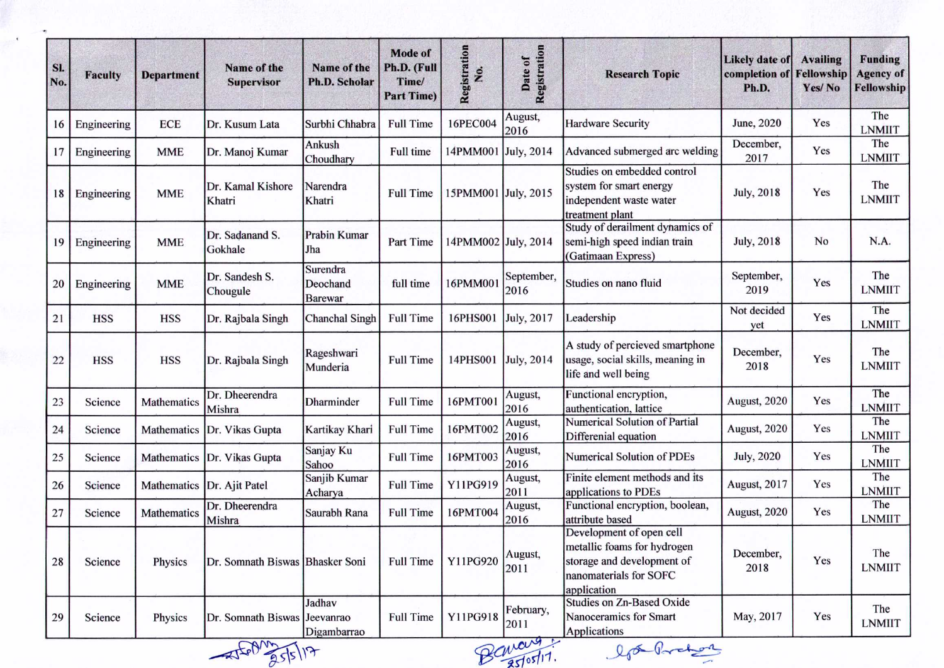| SI.<br>No. | <b>Faculty</b>         | <b>Department</b> | Name of the<br><b>Supervisor</b> | Name of the<br><b>Ph.D. Scholar</b>    | Mode of<br>Ph.D. (Full<br>Time/<br><b>Part Time)</b> | Registration<br>Χo. | Registration<br>Date of | <b>Research Topic</b>                                                                                                          | <b>Likely date of</b><br>completion of<br>Ph.D. | <b>Availing</b><br>Fellowship<br>Yes/No | Funding<br><b>Agency of</b><br>Fellowship |
|------------|------------------------|-------------------|----------------------------------|----------------------------------------|------------------------------------------------------|---------------------|-------------------------|--------------------------------------------------------------------------------------------------------------------------------|-------------------------------------------------|-----------------------------------------|-------------------------------------------|
| 16         | Engineering            | <b>ECE</b>        | Dr. Kusum Lata                   | Surbhi Chhabra                         | <b>Full Time</b>                                     | 16PEC004            | August,<br>2016         | <b>Hardware Security</b>                                                                                                       | June, 2020                                      | Yes                                     | The<br><b>LNMIIT</b>                      |
| 17         | Engineering            | <b>MME</b>        | Dr. Manoj Kumar                  | Ankush<br>Choudhary                    | Full time                                            | 14PMM001 July, 2014 |                         | Advanced submerged arc welding                                                                                                 | December,<br>2017                               | Yes                                     | The<br><b>LNMIIT</b>                      |
| 18         | Engineering            | <b>MME</b>        | Dr. Kamal Kishore<br>Khatri      | Narendra<br>Khatri                     | <b>Full Time</b>                                     | 15PMM001 July, 2015 |                         | Studies on embedded control<br>system for smart energy<br>independent waste water<br>treatment plant                           | <b>July</b> , 2018                              | Yes                                     | The<br><b>LNMIIT</b>                      |
| 19         | Engineering            | <b>MME</b>        | Dr. Sadanand S.<br>Gokhale       | <b>Prabin Kumar</b><br>Jha             | Part Time                                            | 14PMM002 July, 2014 |                         | Study of derailment dynamics of<br>semi-high speed indian train<br>(Gatimaan Express)                                          | <b>July, 2018</b>                               | No                                      | N.A.                                      |
| 20         | Engineering            | <b>MME</b>        | Dr. Sandesh S.<br>Chougule       | Surendra<br>Deochand<br><b>Barewar</b> | full time                                            | 16PMM00             | September,<br>2016      | Studies on nano fluid                                                                                                          | September,<br>2019                              | Yes                                     | The<br><b>LNMIIT</b>                      |
| 21         | <b>HSS</b>             | <b>HSS</b>        | Dr. Rajbala Singh                | <b>Chanchal Singh</b>                  | <b>Full Time</b>                                     | 16PHS001            | July, 2017              | Leadership                                                                                                                     | Not decided<br>yet                              | Yes                                     | The<br><b>LNMIIT</b>                      |
| 22         | <b>HSS</b>             | <b>HSS</b>        | Dr. Rajbala Singh                | Rageshwari<br>Munderia                 | <b>Full Time</b>                                     | 14PHS001 July, 2014 |                         | A study of percieved smartphone<br>usage, social skills, meaning in<br>life and well being                                     | December,<br>2018                               | Yes                                     | The<br><b>LNMIIT</b>                      |
| 23         | Science                | Mathematics       | Dr. Dheerendra<br>Mishra         | Dharminder                             | <b>Full Time</b>                                     | 16PMT001            | August,<br>2016         | Functional encryption,<br>authentication, lattice                                                                              | August, 2020                                    | Yes                                     | The<br><b>LNMIIT</b>                      |
| 24         | Science                | Mathematics       | Dr. Vikas Gupta                  | Kartikay Khari                         | <b>Full Time</b>                                     | 16PMT002            | August,<br>2016         | Numerical Solution of Partial<br>Differenial equation                                                                          | August, 2020                                    | Yes                                     | The<br><b>LNMIIT</b>                      |
| 25         | Science                | Mathematics       | Dr. Vikas Gupta                  | Sanjay Ku<br>Sahoo                     | <b>Full Time</b>                                     | 16PMT003            | August,<br>2016         | Numerical Solution of PDEs                                                                                                     | <b>July</b> , 2020                              | Yes                                     | The<br><b>LNMIIT</b>                      |
| 26         | Science                | Mathematics       | Dr. Ajit Patel                   | Sanjib Kumar<br>Acharya                | <b>Full Time</b>                                     | Y11PG919            | August,<br>2011         | Finite element methods and its<br>applications to PDEs                                                                         | August, 2017                                    | Yes                                     | The<br><b>LNMIIT</b>                      |
| 27         | Science                | Mathematics       | Dr. Dheerendra<br>Mishra         | Saurabh Rana                           | <b>Full Time</b>                                     | 16PMT004            | August,<br>2016         | Functional encryption, boolean,<br>attribute based                                                                             | August, 2020                                    | Yes                                     | The<br><b>LNMIIT</b>                      |
| 28         | Science                | Physics           | Dr. Somnath Biswas Bhasker Soni  |                                        | <b>Full Time</b>                                     | Y11PG920            | August,<br>2011         | Development of open cell<br>metallic foams for hydrogen<br>storage and development of<br>nanomaterials for SOFC<br>application | December,<br>2018                               | Yes                                     | The<br><b>LNMIIT</b>                      |
| 29         | Science                | Physics           | Dr. Somnath Biswas Jeevanrao     | Jadhav<br>Digambarrao                  | <b>Full Time</b>                                     | Y11PG918            | February,<br>2011       | <b>Studies on Zn-Based Oxide</b><br>Nanoceramics for Smart<br>Applications                                                     | May, 2017                                       | Yes                                     | The<br><b>LNMIIT</b>                      |
|            | Banary :<br>lf& Prober |                   |                                  |                                        |                                                      |                     |                         |                                                                                                                                |                                                 |                                         |                                           |